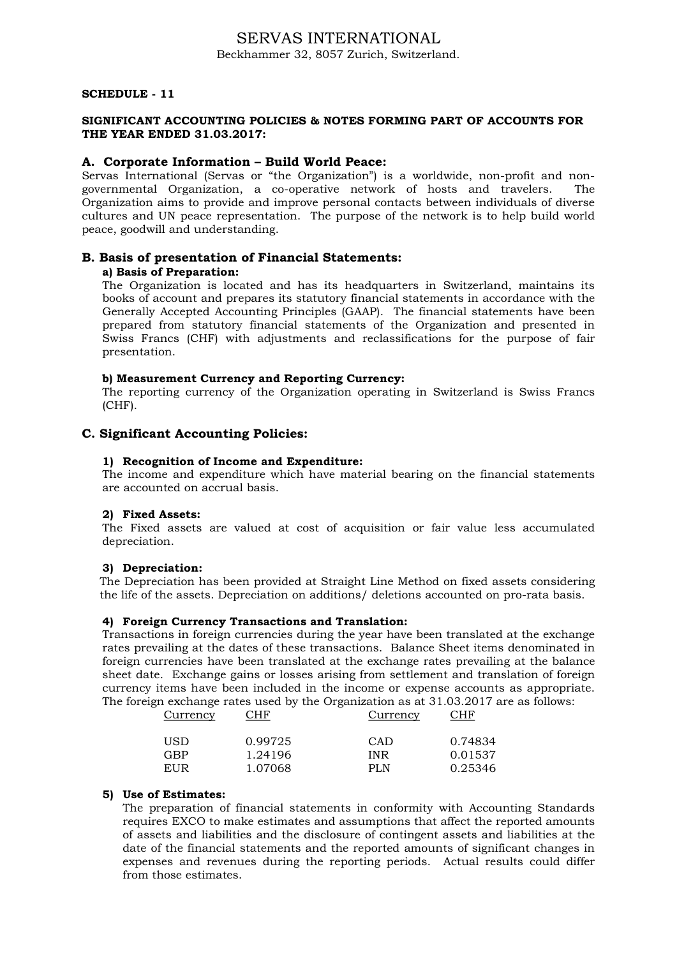# SERVAS INTERNATIONAL Beckhammer 32, 8057 Zurich, Switzerland.

# SCHEDULE - 11

### SIGNIFICANT ACCOUNTING POLICIES & NOTES FORMING PART OF ACCOUNTS FOR THE YEAR ENDED 31.03.2017:

### A. Corporate Information – Build World Peace:

Servas International (Servas or "the Organization") is a worldwide, non-profit and nongovernmental Organization, a co-operative network of hosts and travelers. The Organization aims to provide and improve personal contacts between individuals of diverse cultures and UN peace representation. The purpose of the network is to help build world peace, goodwill and understanding.

# B. Basis of presentation of Financial Statements:

# a) Basis of Preparation:

The Organization is located and has its headquarters in Switzerland, maintains its books of account and prepares its statutory financial statements in accordance with the Generally Accepted Accounting Principles (GAAP). The financial statements have been prepared from statutory financial statements of the Organization and presented in Swiss Francs (CHF) with adjustments and reclassifications for the purpose of fair presentation.

## b) Measurement Currency and Reporting Currency:

The reporting currency of the Organization operating in Switzerland is Swiss Francs (CHF).

# C. Significant Accounting Policies:

#### 1) Recognition of Income and Expenditure:

The income and expenditure which have material bearing on the financial statements are accounted on accrual basis.

#### 2) Fixed Assets:

The Fixed assets are valued at cost of acquisition or fair value less accumulated depreciation.

#### 3) Depreciation:

The Depreciation has been provided at Straight Line Method on fixed assets considering the life of the assets. Depreciation on additions/ deletions accounted on pro-rata basis.

### 4) Foreign Currency Transactions and Translation:

Transactions in foreign currencies during the year have been translated at the exchange rates prevailing at the dates of these transactions. Balance Sheet items denominated in foreign currencies have been translated at the exchange rates prevailing at the balance sheet date. Exchange gains or losses arising from settlement and translation of foreign currency items have been included in the income or expense accounts as appropriate. The foreign exchange rates used by the Organization as at 31.03.2017 are as follows:

| Currency   | CHF                | Currency          | CHF                |
|------------|--------------------|-------------------|--------------------|
| USD<br>GBP | 0.99725<br>1.24196 | CAD<br><b>INR</b> | 0.74834<br>0.01537 |
| EUR        | 1.07068            | PLN               | 0.25346            |

# 5) Use of Estimates:

The preparation of financial statements in conformity with Accounting Standards requires EXCO to make estimates and assumptions that affect the reported amounts of assets and liabilities and the disclosure of contingent assets and liabilities at the date of the financial statements and the reported amounts of significant changes in expenses and revenues during the reporting periods. Actual results could differ from those estimates.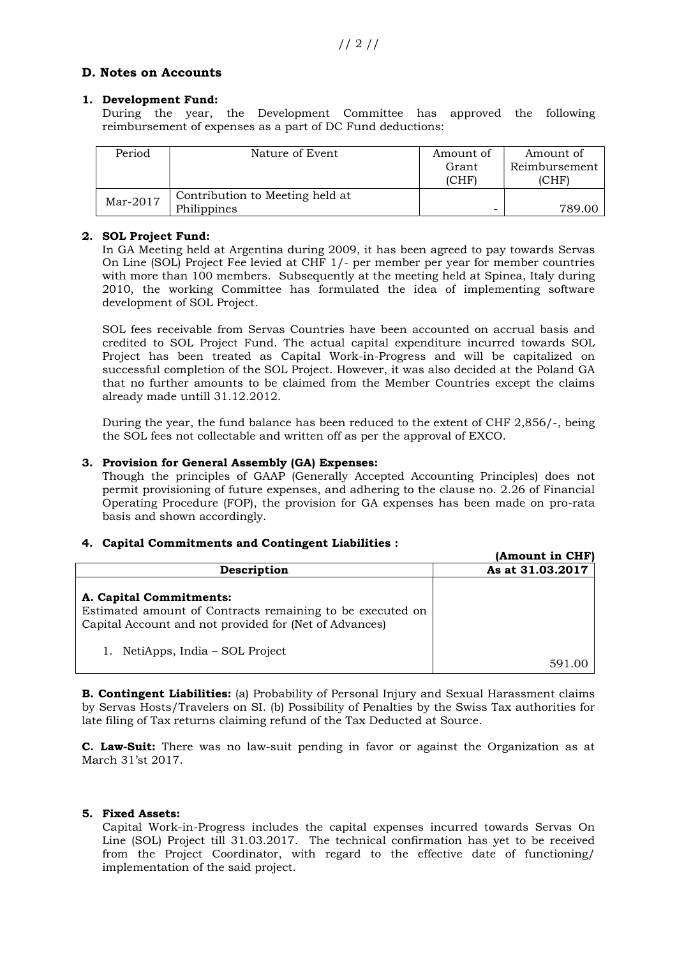# D. Notes on Accounts

# 1. Development Fund:

During the year, the Development Committee has approved the following reimbursement of expenses as a part of DC Fund deductions:

| Period   | Nature of Event                                | Amount of<br>Grant<br>(CHF) | Amount of<br>Reimbursement<br>(CHF) |
|----------|------------------------------------------------|-----------------------------|-------------------------------------|
| Mar-2017 | Contribution to Meeting held at<br>Philippines |                             | 789 OI                              |

# 2. SOL Project Fund:

In GA Meeting held at Argentina during 2009, it has been agreed to pay towards Servas On Line (SOL) Project Fee levied at CHF 1/- per member per year for member countries with more than 100 members. Subsequently at the meeting held at Spinea, Italy during 2010, the working Committee has formulated the idea of implementing software development of SOL Project.

SOL fees receivable from Servas Countries have been accounted on accrual basis and credited to SOL Project Fund. The actual capital expenditure incurred towards SOL Project has been treated as Capital Work-in-Progress and will be capitalized on successful completion of the SOL Project. However, it was also decided at the Poland GA that no further amounts to be claimed from the Member Countries except the claims already made untill 31.12.2012.

During the year, the fund balance has been reduced to the extent of CHF 2,856/-, being the SOL fees not collectable and written off as per the approval of EXCO.

# 3. Provision for General Assembly (GA) Expenses:

Though the principles of GAAP (Generally Accepted Accounting Principles) does not permit provisioning of future expenses, and adhering to the clause no. 2.26 of Financial Operating Procedure (FOP), the provision for GA expenses has been made on pro-rata basis and shown accordingly.

#### 4. Capital Commitments and Contingent Liabilities :

|                                                                                                                                                | (Amount in CHF)  |  |
|------------------------------------------------------------------------------------------------------------------------------------------------|------------------|--|
| Description                                                                                                                                    | As at 31.03.2017 |  |
| A. Capital Commitments:<br>Estimated amount of Contracts remaining to be executed on<br>Capital Account and not provided for (Net of Advances) |                  |  |
| NetiApps, India – SOL Project                                                                                                                  |                  |  |

**B. Contingent Liabilities:** (a) Probability of Personal Injury and Sexual Harassment claims by Servas Hosts/Travelers on SI. (b) Possibility of Penalties by the Swiss Tax authorities for late filing of Tax returns claiming refund of the Tax Deducted at Source.

C. Law-Suit: There was no law-suit pending in favor or against the Organization as at March 31'st 2017.

# 5. Fixed Assets:

Capital Work-in-Progress includes the capital expenses incurred towards Servas On Line (SOL) Project till 31.03.2017. The technical confirmation has yet to be received from the Project Coordinator, with regard to the effective date of functioning/ implementation of the said project.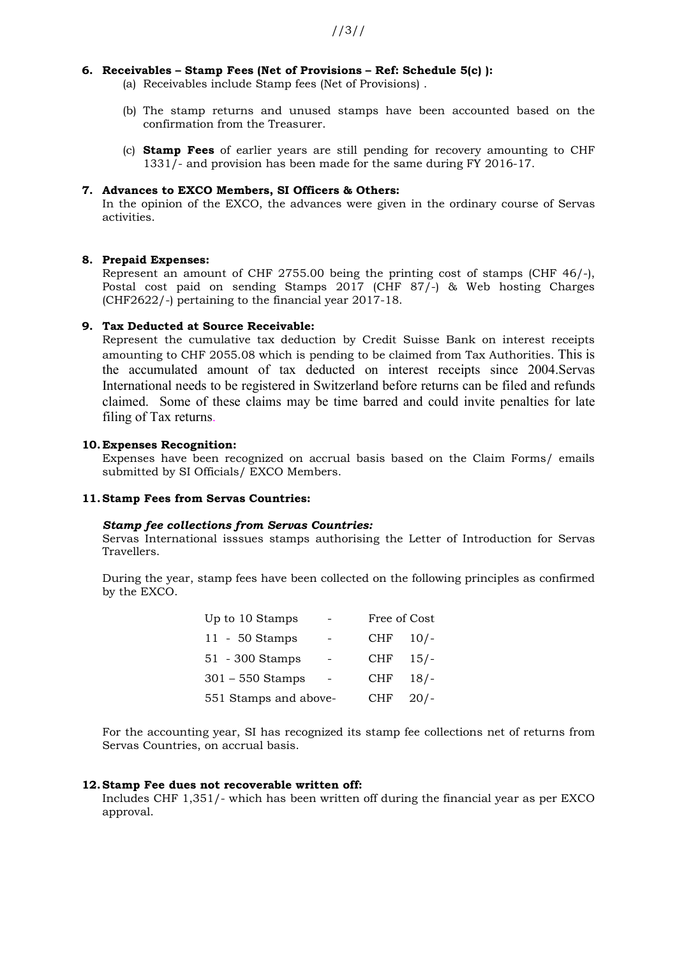### 6. Receivables – Stamp Fees (Net of Provisions – Ref: Schedule 5(c) ):

(a) Receivables include Stamp fees (Net of Provisions) .

- (b) The stamp returns and unused stamps have been accounted based on the confirmation from the Treasurer.
- (c) Stamp Fees of earlier years are still pending for recovery amounting to CHF 1331/- and provision has been made for the same during FY 2016-17.

#### 7. Advances to EXCO Members, SI Officers & Others:

In the opinion of the EXCO, the advances were given in the ordinary course of Servas activities.

#### 8. Prepaid Expenses:

Represent an amount of CHF 2755.00 being the printing cost of stamps (CHF 46/-), Postal cost paid on sending Stamps 2017 (CHF 87/-) & Web hosting Charges (CHF2622/-) pertaining to the financial year 2017-18.

#### 9. Tax Deducted at Source Receivable:

Represent the cumulative tax deduction by Credit Suisse Bank on interest receipts amounting to CHF 2055.08 which is pending to be claimed from Tax Authorities. This is the accumulated amount of tax deducted on interest receipts since 2004.Servas International needs to be registered in Switzerland before returns can be filed and refunds claimed. Some of these claims may be time barred and could invite penalties for late filing of Tax returns.

#### 10.Expenses Recognition:

Expenses have been recognized on accrual basis based on the Claim Forms/ emails submitted by SI Officials/ EXCO Members.

# 11.Stamp Fees from Servas Countries:

#### Stamp fee collections from Servas Countries:

Servas International isssues stamps authorising the Letter of Introduction for Servas Travellers.

During the year, stamp fees have been collected on the following principles as confirmed by the EXCO.

| Up to 10 Stamps       |                          | Free of Cost |        |
|-----------------------|--------------------------|--------------|--------|
| $11 - 50$ Stamps      |                          | <b>CHF</b>   | $10/-$ |
| $51 - 300$ Stamps     | $\overline{\phantom{a}}$ | <b>CHF</b>   | $15/-$ |
| $301 - 550$ Stamps    |                          | <b>CHF</b>   | 18/    |
| 551 Stamps and above- |                          | <b>CHF</b>   | 20/    |

For the accounting year, SI has recognized its stamp fee collections net of returns from Servas Countries, on accrual basis.

#### 12.Stamp Fee dues not recoverable written off:

Includes CHF 1,351/- which has been written off during the financial year as per EXCO approval.